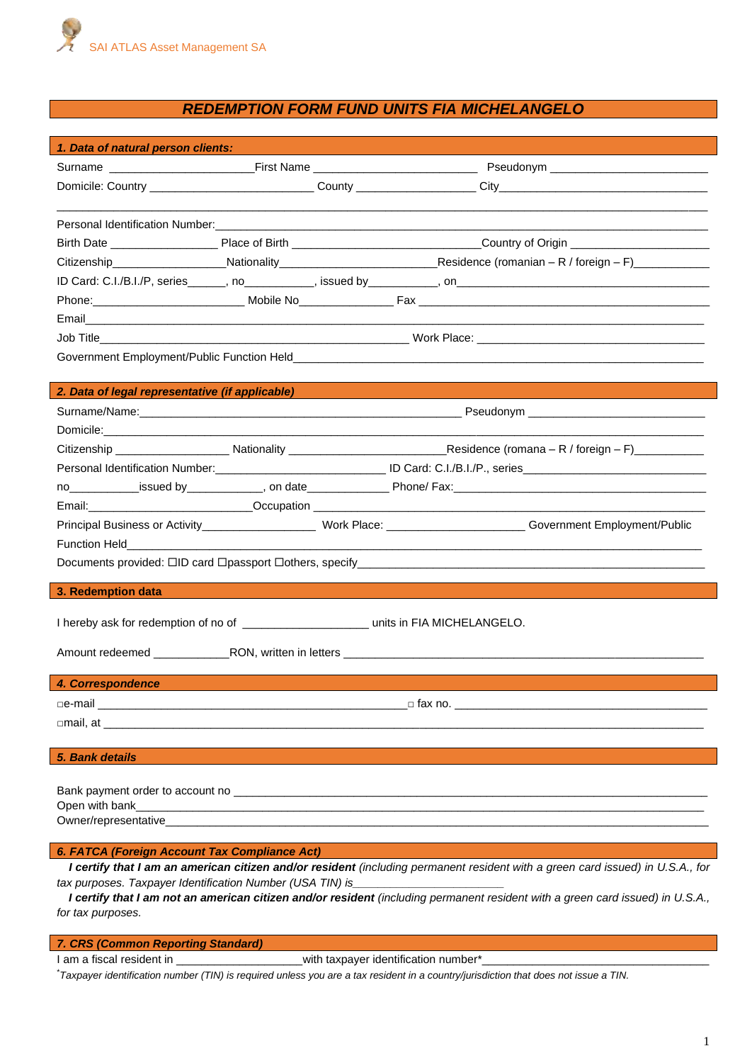

# *REDEMPTION FORM FUND UNITS FIA MICHELANGELO*

|                                                                                                                                        | 1. Data of natural person clients:              |                                                                                                                     |
|----------------------------------------------------------------------------------------------------------------------------------------|-------------------------------------------------|---------------------------------------------------------------------------------------------------------------------|
|                                                                                                                                        |                                                 |                                                                                                                     |
|                                                                                                                                        |                                                 |                                                                                                                     |
|                                                                                                                                        |                                                 |                                                                                                                     |
|                                                                                                                                        |                                                 |                                                                                                                     |
|                                                                                                                                        |                                                 |                                                                                                                     |
|                                                                                                                                        |                                                 |                                                                                                                     |
|                                                                                                                                        |                                                 |                                                                                                                     |
|                                                                                                                                        |                                                 |                                                                                                                     |
|                                                                                                                                        |                                                 |                                                                                                                     |
|                                                                                                                                        |                                                 |                                                                                                                     |
|                                                                                                                                        |                                                 |                                                                                                                     |
|                                                                                                                                        | 2. Data of legal representative (if applicable) |                                                                                                                     |
|                                                                                                                                        |                                                 |                                                                                                                     |
|                                                                                                                                        |                                                 |                                                                                                                     |
|                                                                                                                                        |                                                 |                                                                                                                     |
|                                                                                                                                        |                                                 | Personal Identification Number: Called a Discovery Marian ID Card: C.I./B.I./P., series                             |
|                                                                                                                                        |                                                 | no _____________issued by ______________, on date ________________Phone/ Fax: _________________________________     |
|                                                                                                                                        |                                                 |                                                                                                                     |
|                                                                                                                                        |                                                 | Principal Business or Activity_____________________Work Place: ________________________Government Employment/Public |
|                                                                                                                                        |                                                 |                                                                                                                     |
|                                                                                                                                        |                                                 |                                                                                                                     |
| 3. Redemption data                                                                                                                     |                                                 |                                                                                                                     |
|                                                                                                                                        |                                                 |                                                                                                                     |
| I hereby ask for redemption of no of ________________________ units in FIA MICHELANGELO.                                               |                                                 |                                                                                                                     |
|                                                                                                                                        |                                                 |                                                                                                                     |
|                                                                                                                                        |                                                 |                                                                                                                     |
| 4. Correspondence                                                                                                                      |                                                 | $\Box$ fax no.                                                                                                      |
|                                                                                                                                        | $\Box$ mail, at $\Box$                          |                                                                                                                     |
|                                                                                                                                        |                                                 |                                                                                                                     |
| 5. Bank details                                                                                                                        |                                                 |                                                                                                                     |
|                                                                                                                                        |                                                 |                                                                                                                     |
|                                                                                                                                        |                                                 |                                                                                                                     |
| Open with bank<br><u> 2000 - 2000 - 2000 - 2000 - 2000 - 2000 - 2000 - 2000 - 2000 - 2000 - 2000 - 2000 - 2000 - 2000 - 2000 - 200</u> |                                                 |                                                                                                                     |
|                                                                                                                                        |                                                 |                                                                                                                     |
| 6. FATCA (Foreign Account Tax Compliance Act)                                                                                          |                                                 |                                                                                                                     |
| I certify that I am an american citizen and/or resident (including permanent resident with a green card issued) in U.S.A., for         |                                                 |                                                                                                                     |

*tax purposes. Taxpayer Identification Number (USA TIN) is\_\_\_\_\_\_\_\_\_\_\_\_\_\_\_\_\_\_\_\_\_\_\_\_*

*I certify that I am not an american citizen and/or resident (including permanent resident with a green card issued) in U.S.A., for tax purposes.*

# *7. CRS (Common Reporting Standard)*

I am a fiscal resident in \_\_\_\_\_\_\_\_\_\_\_\_\_\_\_\_\_\_\_\_\_\_\_\_\_\_with taxpayer identification number\*\_

\**Taxpayer identification number (TIN) is required unless you are a tax resident in a country/jurisdiction that does not issue a TIN.*